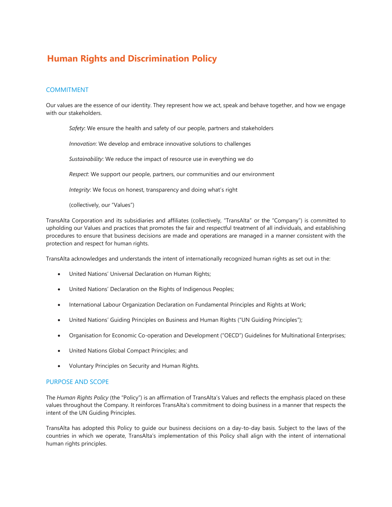# **Human Rights and Discrimination Policy**

# COMMITMENT

Our values are the essence of our identity. They represent how we act, speak and behave together, and how we engage with our stakeholders.

*Safety*: We ensure the health and safety of our people, partners and stakeholders

*Innovation*: We develop and embrace innovative solutions to challenges

*Sustainability*: We reduce the impact of resource use in everything we do

*Respect*: We support our people, partners, our communities and our environment

*Integrity*: We focus on honest, transparency and doing what's right

(collectively, our "Values")

TransAlta Corporation and its subsidiaries and affiliates (collectively, "TransAlta" or the "Company") is committed to upholding our Values and practices that promotes the fair and respectful treatment of all individuals, and establishing procedures to ensure that business decisions are made and operations are managed in a manner consistent with the protection and respect for human rights.

TransAlta acknowledges and understands the intent of internationally recognized human rights as set out in the:

- United Nations' Universal Declaration on Human Rights;
- United Nations' Declaration on the Rights of Indigenous Peoples;
- International Labour Organization Declaration on Fundamental Principles and Rights at Work;
- United Nations' Guiding Principles on Business and Human Rights ("UN Guiding Principles");
- Organisation for Economic Co-operation and Development ("OECD") Guidelines for Multinational Enterprises;
- United Nations Global Compact Principles; and
- Voluntary Principles on Security and Human Rights.

#### PURPOSE AND SCOPE

The *Human Rights Policy* (the "Policy") is an affirmation of TransAlta's Values and reflects the emphasis placed on these values throughout the Company. It reinforces TransAlta's commitment to doing business in a manner that respects the intent of the UN Guiding Principles.

TransAlta has adopted this Policy to guide our business decisions on a day-to-day basis. Subject to the laws of the countries in which we operate, TransAlta's implementation of this Policy shall align with the intent of international human rights principles.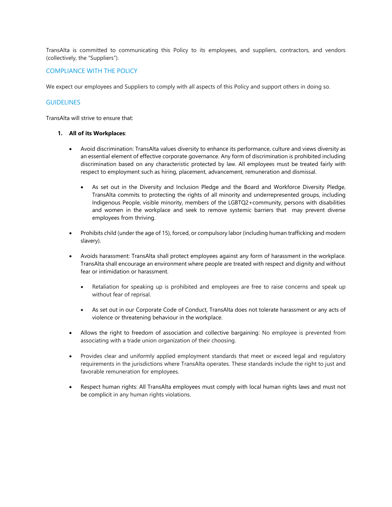TransAlta is committed to communicating this Policy to its employees, and suppliers, contractors, and vendors (collectively, the "Suppliers").

## COMPLIANCE WITH THE POLICY

We expect our employees and Suppliers to comply with all aspects of this Policy and support others in doing so.

## **GUIDELINES**

TransAlta will strive to ensure that:

#### **1. All of its Workplaces**:

- Avoid discrimination: TransAlta values diversity to enhance its performance, culture and views diversity as an essential element of effective corporate governance. Any form of discrimination is prohibited including discrimination based on any characteristic protected by law. All employees must be treated fairly with respect to employment such as hiring, placement, advancement, remuneration and dismissal.
	- As set out in the Diversity and Inclusion Pledge and the Board and Workforce Diversity Pledge, TransAlta commits to protecting the rights of all minority and underrepresented groups, including Indigenous People, visible minority, members of the LGBTQ2+community, persons with disabilities and women in the workplace and seek to remove systemic barriers that may prevent diverse employees from thriving.
- Prohibits child (under the age of 15), forced, or compulsory labor (including human trafficking and modern slavery).
- Avoids harassment: TransAlta shall protect employees against any form of harassment in the workplace. TransAlta shall encourage an environment where people are treated with respect and dignity and without fear or intimidation or harassment.
	- Retaliation for speaking up is prohibited and employees are free to raise concerns and speak up without fear of reprisal.
	- As set out in our Corporate Code of Conduct, TransAlta does not tolerate harassment or any acts of violence or threatening behaviour in the workplace.
- Allows the right to freedom of association and collective bargaining: No employee is prevented from associating with a trade union organization of their choosing.
- Provides clear and uniformly applied employment standards that meet or exceed legal and regulatory requirements in the jurisdictions where TransAlta operates. These standards include the right to just and favorable remuneration for employees.
- Respect human rights: All TransAlta employees must comply with local human rights laws and must not be complicit in any human rights violations.